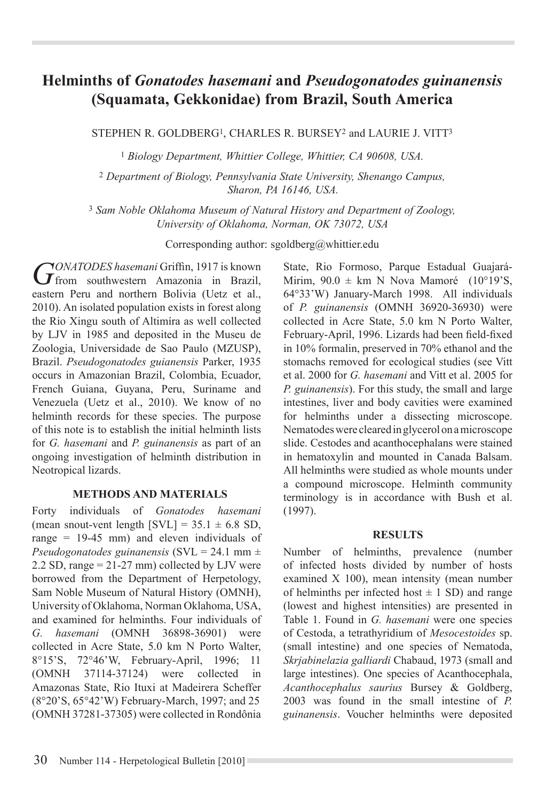# **Helminths of** *Gonatodes hasemani* **and** *Pseudogonatodes guinanensis*  **(Squamata, Gekkonidae) from Brazil, South America**

STEPHEN R. GOLDBERG1, CHARLES R. BURSEY2 and LAURIE J. VITT3

<sup>1</sup> *Biology Department, Whittier College, Whittier, CA 90608, USA.*

<sup>2</sup> *Department of Biology, Pennsylvania State University, Shenango Campus, Sharon, PA 16146, USA.*

<sup>3</sup> *Sam Noble Oklahoma Museum of Natural History and Department of Zoology, University of Oklahoma, Norman, OK 73072, USA*

Corresponding author: sgoldberg@whittier.edu

GONATODES hasemani Griffin, 1917 is known<br> **G** from southwestern Amazonia in Brazil, eastern Peru and northern Bolivia (Uetz et al., 2010). An isolated population exists in forest along the Rio Xingu south of Altimíra as well collected by LJV in 1985 and deposited in the Museu de Zoologia, Universidade de Sao Paulo (MZUSP), Brazil. *Pseudogonatodes guianensis* Parker, 1935 occurs in Amazonian Brazil, Colombia, Ecuador, French Guiana, Guyana, Peru, Suriname and Venezuela (Uetz et al., 2010). We know of no helminth records for these species. The purpose of this note is to establish the initial helminth lists for *G. hasemani* and *P. guinanensis* as part of an ongoing investigation of helminth distribution in Neotropical lizards.

### **METHODS AND MATERIALS**

Forty individuals of *Gonatodes hasemani*  (mean snout-vent length  $[SVL] = 35.1 \pm 6.8$  SD, range = 19-45 mm) and eleven individuals of *Pseudogonatodes guinanensis* (SVL = 24.1 mm ± 2.2 SD, range  $= 21-27$  mm) collected by LJV were borrowed from the Department of Herpetology, Sam Noble Museum of Natural History (OMNH), University of Oklahoma, Norman Oklahoma, USA, and examined for helminths. Four individuals of *G. hasemani* (OMNH 36898-36901) were collected in Acre State, 5.0 km N Porto Walter, 8°15'S, 72°46'W, February-April, 1996; 11 (OMNH 37114-37124) were collected in Amazonas State, Rio Ituxi at Madeirera Scheffer (8°20'S, 65°42'W) February-March, 1997; and 25 (OMNH 37281-37305) were collected in Rondônia

State, Rio Formoso, Parque Estadual Guajará-Mirim,  $90.0 \pm \text{km}$  N Nova Mamoré (10°19'S, 64°33'W) January-March 1998. All individuals of *P. guinanensis* (OMNH 36920-36930) were collected in Acre State, 5.0 km N Porto Walter, February-April, 1996. Lizards had been field-fixed in 10% formalin, preserved in 70% ethanol and the stomachs removed for ecological studies (see Vitt et al. 2000 for *G. hasemani* and Vitt et al. 2005 for *P. guinanensis*). For this study, the small and large intestines, liver and body cavities were examined for helminths under a dissecting microscope. Nematodes were cleared in glycerol on a microscope slide. Cestodes and acanthocephalans were stained in hematoxylin and mounted in Canada Balsam. All helminths were studied as whole mounts under a compound microscope. Helminth community terminology is in accordance with Bush et al. (1997).

#### **RESULTS**

Number of helminths, prevalence (number of infected hosts divided by number of hosts examined X 100), mean intensity (mean number of helminths per infected host  $\pm$  1 SD) and range (lowest and highest intensities) are presented in Table 1. Found in *G. hasemani* were one species of Cestoda, a tetrathyridium of *Mesocestoides* sp. (small intestine) and one species of Nematoda, *Skrjabinelazia galliardi* Chabaud, 1973 (small and large intestines). One species of Acanthocephala, *Acanthocephalus saurius* Bursey & Goldberg, 2003 was found in the small intestine of *P. guinanensis*. Voucher helminths were deposited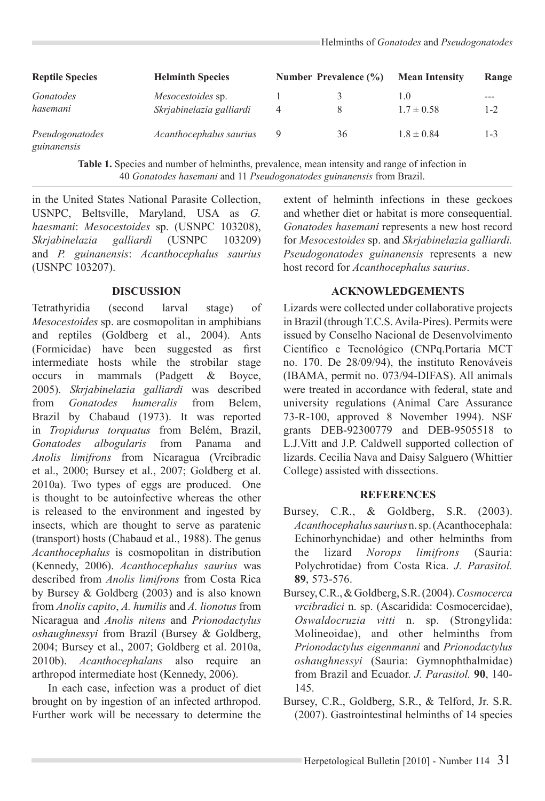| <b>Reptile Species</b>         | <b>Helminth Species</b><br><i>Mesocestoides</i> sp.<br>Skrjabinelazia galliardi | Number Prevalence (%) |    | <b>Mean Intensity</b> | Range   |
|--------------------------------|---------------------------------------------------------------------------------|-----------------------|----|-----------------------|---------|
| Gonatodes<br>hasemani          |                                                                                 | 4                     |    | 1.0<br>$1.7 \pm 0.58$ | $1 - 2$ |
| Pseudogonatodes<br>guinanensis | Acanthocephalus saurius                                                         | 9                     | 36 | $1.8 \pm 0.84$        | $1 - 3$ |

**Table 1.** Species and number of helminths, prevalence, mean intensity and range of infection in 40 *Gonatodes hasemani* and 11 *Pseudogonatodes guinanensis* from Brazil.

in the United States National Parasite Collection, USNPC, Beltsville, Maryland, USA as *G. haesmani*: *Mesocestoides* sp. (USNPC 103208), *Skrjabinelazia galliardi* (USNPC 103209) and *P. guinanensis*: *Acanthocephalus saurius* (USNPC 103207).

### **DISCUSSION**

Tetrathyridia (second larval stage) of *Mesocestoides* sp. are cosmopolitan in amphibians and reptiles (Goldberg et al., 2004). Ants (Formicidae) have been suggested as first intermediate hosts while the strobilar stage occurs in mammals (Padgett & Boyce, 2005). *Skrjabinelazia galliardi* was described from *Gonatodes humeralis* from Belem, Brazil by Chabaud (1973). It was reported in *Tropidurus torquatus* from Belém, Brazil, *Gonatodes albogularis* from Panama and *Anolis limifrons* from Nicaragua (Vrcibradic et al., 2000; Bursey et al., 2007; Goldberg et al. 2010a). Two types of eggs are produced. One is thought to be autoinfective whereas the other is released to the environment and ingested by insects, which are thought to serve as paratenic (transport) hosts (Chabaud et al., 1988). The genus *Acanthocephalus* is cosmopolitan in distribution (Kennedy, 2006). *Acanthocephalus saurius* was described from *Anolis limifrons* from Costa Rica by Bursey & Goldberg (2003) and is also known from *Anolis capito*, *A. humilis* and *A. lionotus* from Nicaragua and *Anolis nitens* and *Prionodactylus oshaughnessyi* from Brazil (Bursey & Goldberg, 2004; Bursey et al., 2007; Goldberg et al. 2010a, 2010b). *Acanthocephalans* also require an arthropod intermediate host (Kennedy, 2006).

In each case, infection was a product of diet brought on by ingestion of an infected arthropod. Further work will be necessary to determine the extent of helminth infections in these geckoes and whether diet or habitat is more consequential. *Gonatodes hasemani* represents a new host record for *Mesocestoides* sp. and *Skrjabinelazia galliardi. Pseudogonatodes guinanensis* represents a new host record for *Acanthocephalus saurius*.

## **ACKNOWLEDGEMENTS**

Lizards were collected under collaborative projects in Brazil (through T.C.S. Avila-Pires). Permits were issued by Conselho Nacional de Desenvolvimento Científico e Tecnológico (CNPq.Portaria MCT no. 170. De 28/09/94), the instituto Renováveis (IBAMA, permit no. 073/94-DIFAS). All animals were treated in accordance with federal, state and university regulations (Animal Care Assurance 73-R-100, approved 8 November 1994). NSF grants DEB-92300779 and DEB-9505518 to L.J.Vitt and J.P. Caldwell supported collection of lizards. Cecilia Nava and Daisy Salguero (Whittier College) assisted with dissections.

### **REFERENCES**

- Bursey, C.R., & Goldberg, S.R. (2003). *Acanthocephalus saurius* n. sp. (Acanthocephala: Echinorhynchidae) and other helminths from<br>the lizard *Norops limifrons* (Sauria: the lizard *Norops limifrons* (Sauria: Polychrotidae) from Costa Rica. *J. Parasitol.*  **89**, 573-576.
- Bursey, C.R., & Goldberg, S.R. (2004). *Cosmocerca vrcibradici* n. sp. (Ascaridida: Cosmocercidae), *Oswaldocruzia vitti* n. sp. (Strongylida: Molineoidae), and other helminths from *Prionodactylus eigenmanni* and *Prionodactylus oshaughnessyi* (Sauria: Gymnophthalmidae) from Brazil and Ecuador. *J. Parasitol.* **90**, 140- 145.
- Bursey, C.R., Goldberg, S.R., & Telford, Jr. S.R. (2007). Gastrointestinal helminths of 14 species